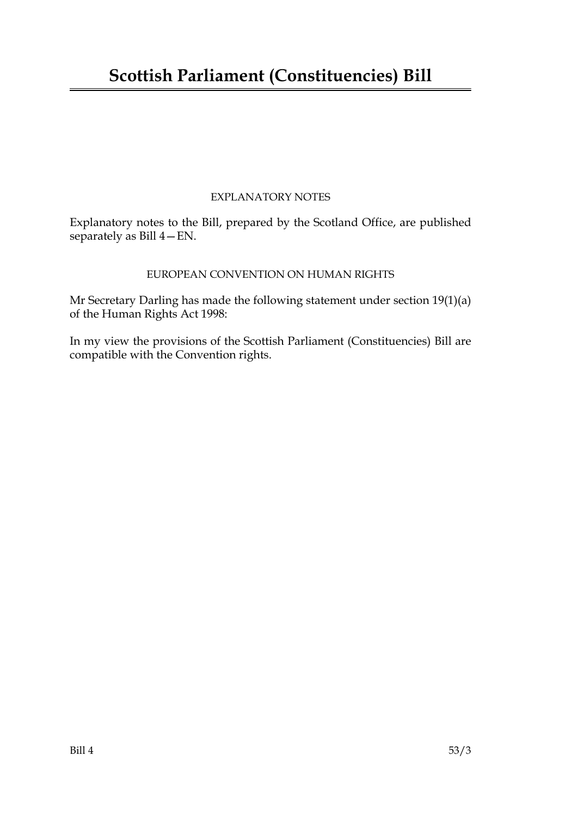## EXPLANATORY NOTES

Explanatory notes to the Bill, prepared by the Scotland Office, are published separately as Bill 4—EN.

## EUROPEAN CONVENTION ON HUMAN RIGHTS

Mr Secretary Darling has made the following statement under section 19(1)(a) of the Human Rights Act 1998:

In my view the provisions of the Scottish Parliament (Constituencies) Bill are compatible with the Convention rights.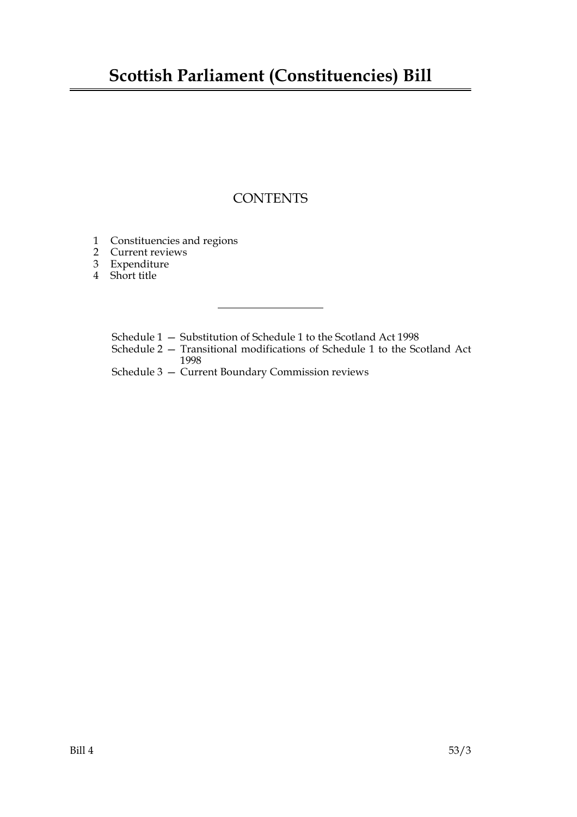## **Scottish Parliament (Constituencies) Bill**

## **CONTENTS**

- [1 Constituencies and regions](#page-4-0)
- [2 Current reviews](#page-4-1)
- [3 Expenditure](#page-5-0)
- [4 Short title](#page-5-1)
	- [Schedule 1 Substitution of Schedule 1 to the Scotland Act 1998](#page-6-0)
	- [Schedule 2 Transitional modifications of Schedule 1 to the Scotland Act](#page-14-0) 1998
	- [Schedule 3 Current Boundary Commission reviews](#page-14-1)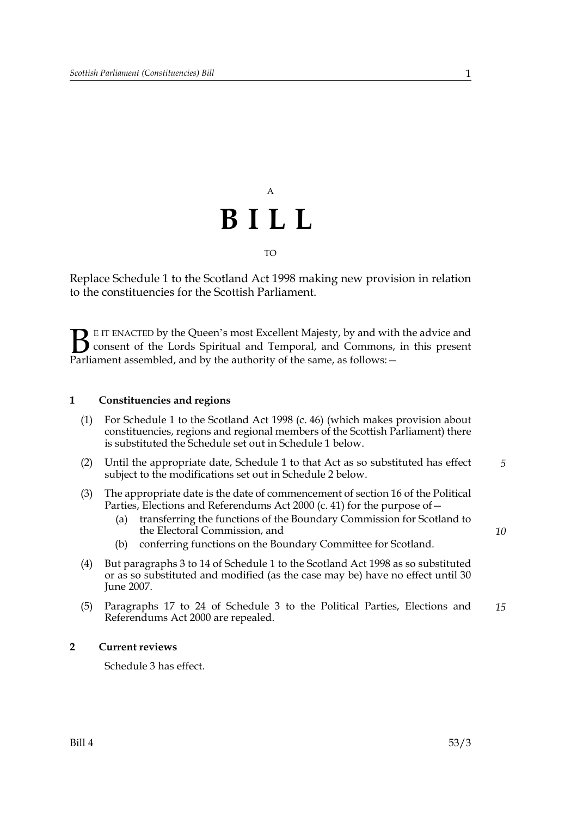#### TO

Replace Schedule 1 to the Scotland Act 1998 making new provision in relation to the constituencies for the Scottish Parliament.

E IT ENACTED by the Queen's most Excellent Majesty, by and with the advice and consent of the Lords Spiritual and Temporal, and Commons, in this present Parliament assembled, and by the authority of the same, as follows: - $\mathbf{B}_{\text{rel}}$ 

#### <span id="page-4-0"></span>**1 Constituencies and regions**

- (1) For Schedule 1 to the Scotland Act 1998 (c. 46) (which makes provision about constituencies, regions and regional members of the Scottish Parliament) there is substituted the Schedule set out in Schedule [1](#page-6-0) below.
- (2) Until the appropriate date, Schedule 1 to that Act as so substituted has effect subject to the modifications set out in Schedule [2](#page-14-0) below. *5*
- (3) The appropriate date is the date of commencement of section 16 of the Political Parties, Elections and Referendums Act 2000 (c. 41) for the purpose of—
	- (a) transferring the functions of the Boundary Commission for Scotland to the Electoral Commission, and
	- (b) conferring functions on the Boundary Committee for Scotland.
- (4) But paragraphs 3 to 14 of Schedule 1 to the Scotland Act 1998 as so substituted or as so substituted and modified (as the case may be) have no effect until 30 June 2007.
- (5) Paragraphs 17 to 24 of Schedule 3 to the Political Parties, Elections and Referendums Act 2000 are repealed. *15*

#### **2 Current reviews**

<span id="page-4-1"></span>Schedule [3](#page-14-1) has effect.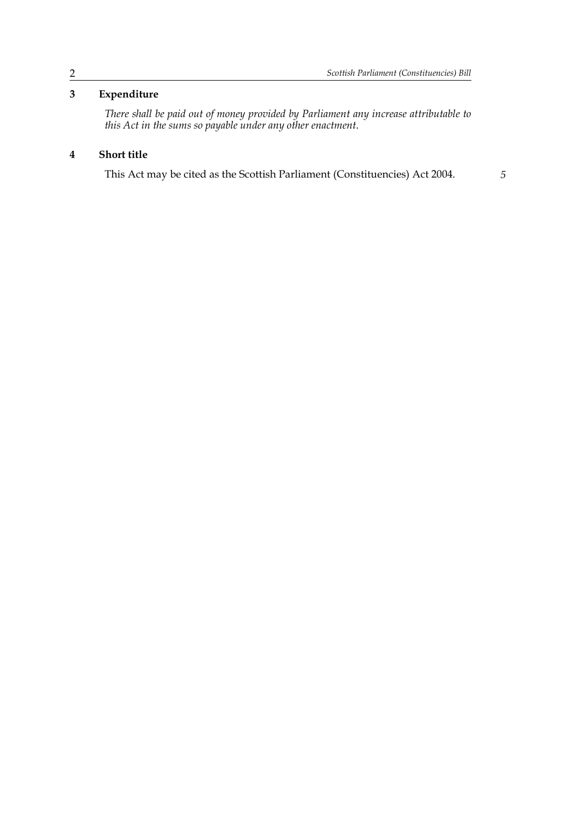## **3 Expenditure**

<span id="page-5-0"></span>*There shall be paid out of money provided by Parliament any increase attributable to this Act in the sums so payable under any other enactment*.

## **4 Short title**

<span id="page-5-1"></span>This Act may be cited as the Scottish Parliament (Constituencies) Act 2004. *5*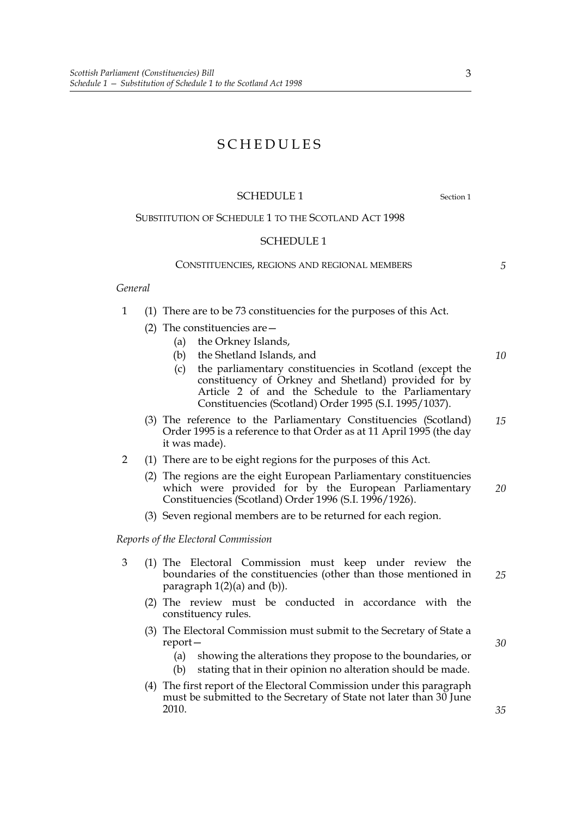## SCHEDULES

#### <span id="page-6-0"></span>SCHEDULE [1](#page-4-0) Section 1

#### SUBSTITUTION OF SCHEDULE 1 TO THE SCOTLAND ACT 1998

#### SCHEDULE 1

#### CONSTITUENCIES, REGIONS AND REGIONAL MEMBERS

*5*

*10*

#### *General*

- 1 (1) There are to be 73 constituencies for the purposes of this Act.
	- (2) The constituencies are  $-$ 
		- (a) the Orkney Islands,
		- (b) the Shetland Islands, and
		- (c) the parliamentary constituencies in Scotland (except the constituency of Orkney and Shetland) provided for by Article 2 of and the Schedule to the Parliamentary Constituencies (Scotland) Order 1995 (S.I. 1995/1037).
	- (3) The reference to the Parliamentary Constituencies (Scotland) Order 1995 is a reference to that Order as at 11 April 1995 (the day it was made). *15*
- 2 (1) There are to be eight regions for the purposes of this Act.
	- (2) The regions are the eight European Parliamentary constituencies which were provided for by the European Parliamentary Constituencies (Scotland) Order 1996 (S.I. 1996/1926). *20*
	- (3) Seven regional members are to be returned for each region.

#### *Reports of the Electoral Commission*

- 3 (1) The Electoral Commission must keep under review the boundaries of the constituencies (other than those mentioned in paragraph  $1(2)(a)$  and  $(b)$ ).
	- (2) The review must be conducted in accordance with the constituency rules.
	- (3) The Electoral Commission must submit to the Secretary of State a report—
		- (a) showing the alterations they propose to the boundaries, or
		- (b) stating that in their opinion no alteration should be made.
	- (4) The first report of the Electoral Commission under this paragraph must be submitted to the Secretary of State not later than 30 June 2010.

3

*35*

*30*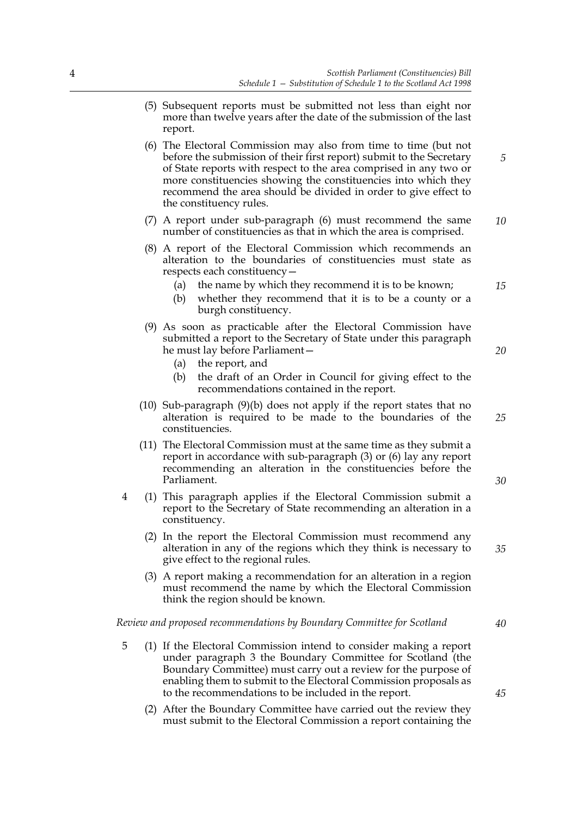- (5) Subsequent reports must be submitted not less than eight nor more than twelve years after the date of the submission of the last report.
- (6) The Electoral Commission may also from time to time (but not before the submission of their first report) submit to the Secretary of State reports with respect to the area comprised in any two or more constituencies showing the constituencies into which they recommend the area should be divided in order to give effect to the constituency rules.
- (7) A report under sub-paragraph (6) must recommend the same number of constituencies as that in which the area is comprised. *10*
- (8) A report of the Electoral Commission which recommends an alteration to the boundaries of constituencies must state as respects each constituency—
	- (a) the name by which they recommend it is to be known;
	- (b) whether they recommend that it is to be a county or a burgh constituency.
- (9) As soon as practicable after the Electoral Commission have submitted a report to the Secretary of State under this paragraph he must lay before Parliament—
	- (a) the report, and
	- (b) the draft of an Order in Council for giving effect to the recommendations contained in the report.
- (10) Sub-paragraph (9)(b) does not apply if the report states that no alteration is required to be made to the boundaries of the constituencies.
- (11) The Electoral Commission must at the same time as they submit a report in accordance with sub-paragraph (3) or (6) lay any report recommending an alteration in the constituencies before the Parliament.
- 4 (1) This paragraph applies if the Electoral Commission submit a report to the Secretary of State recommending an alteration in a constituency.
	- (2) In the report the Electoral Commission must recommend any alteration in any of the regions which they think is necessary to give effect to the regional rules.
	- (3) A report making a recommendation for an alteration in a region must recommend the name by which the Electoral Commission think the region should be known.

*Review and proposed recommendations by Boundary Committee for Scotland*

- 5 (1) If the Electoral Commission intend to consider making a report under paragraph 3 the Boundary Committee for Scotland (the Boundary Committee) must carry out a review for the purpose of enabling them to submit to the Electoral Commission proposals as to the recommendations to be included in the report.
	- (2) After the Boundary Committee have carried out the review they must submit to the Electoral Commission a report containing the

*15*

*20*

*5*

*25*

*30*

*35*

*40*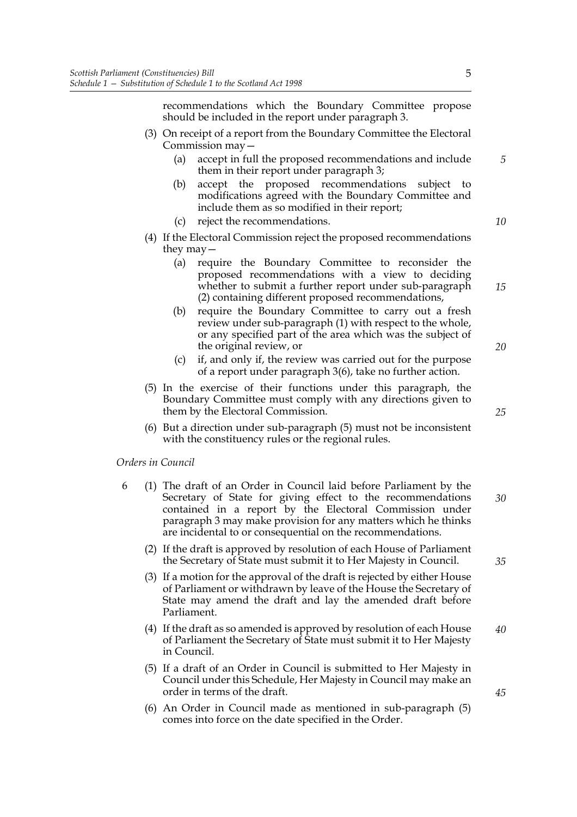recommendations which the Boundary Committee propose should be included in the report under paragraph 3.

- (3) On receipt of a report from the Boundary Committee the Electoral Commission may—
	- (a) accept in full the proposed recommendations and include them in their report under paragraph 3;
	- (b) accept the proposed recommendations subject to modifications agreed with the Boundary Committee and include them as so modified in their report;
	- (c) reject the recommendations.
- (4) If the Electoral Commission reject the proposed recommendations they may—
	- (a) require the Boundary Committee to reconsider the proposed recommendations with a view to deciding whether to submit a further report under sub-paragraph (2) containing different proposed recommendations,
	- (b) require the Boundary Committee to carry out a fresh review under sub-paragraph (1) with respect to the whole, or any specified part of the area which was the subject of the original review, or
	- (c) if, and only if, the review was carried out for the purpose of a report under paragraph 3(6), take no further action.
- (5) In the exercise of their functions under this paragraph, the Boundary Committee must comply with any directions given to them by the Electoral Commission.
- (6) But a direction under sub-paragraph (5) must not be inconsistent with the constituency rules or the regional rules.

#### *Orders in Council*

- 6 (1) The draft of an Order in Council laid before Parliament by the Secretary of State for giving effect to the recommendations contained in a report by the Electoral Commission under paragraph 3 may make provision for any matters which he thinks are incidental to or consequential on the recommendations. *30*
	- (2) If the draft is approved by resolution of each House of Parliament the Secretary of State must submit it to Her Majesty in Council.
	- (3) If a motion for the approval of the draft is rejected by either House of Parliament or withdrawn by leave of the House the Secretary of State may amend the draft and lay the amended draft before Parliament.
	- (4) If the draft as so amended is approved by resolution of each House of Parliament the Secretary of State must submit it to Her Majesty in Council. *40*
	- (5) If a draft of an Order in Council is submitted to Her Majesty in Council under this Schedule, Her Majesty in Council may make an order in terms of the draft.
	- (6) An Order in Council made as mentioned in sub-paragraph (5) comes into force on the date specified in the Order.

5

*5*

*10*

*15*

*20*

*25*

*35*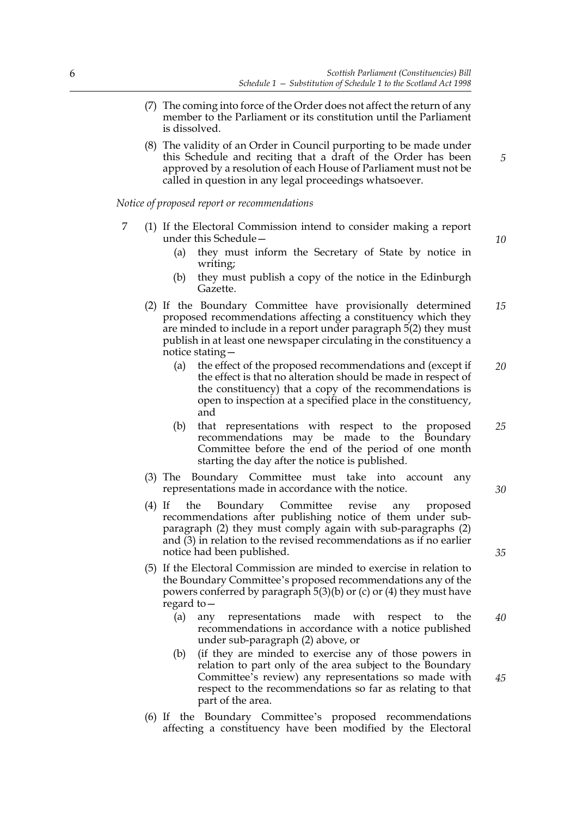- (7) The coming into force of the Order does not affect the return of any member to the Parliament or its constitution until the Parliament is dissolved.
- (8) The validity of an Order in Council purporting to be made under this Schedule and reciting that a draft of the Order has been approved by a resolution of each House of Parliament must not be called in question in any legal proceedings whatsoever.

*Notice of proposed report or recommendations*

- 7 (1) If the Electoral Commission intend to consider making a report under this Schedule—
	- (a) they must inform the Secretary of State by notice in writing;
	- (b) they must publish a copy of the notice in the Edinburgh Gazette.
	- (2) If the Boundary Committee have provisionally determined proposed recommendations affecting a constituency which they are minded to include in a report under paragraph 5(2) they must publish in at least one newspaper circulating in the constituency a notice stating— *15*
		- (a) the effect of the proposed recommendations and (except if the effect is that no alteration should be made in respect of the constituency) that a copy of the recommendations is open to inspection at a specified place in the constituency, and *20*
		- (b) that representations with respect to the proposed recommendations may be made to the Boundary Committee before the end of the period of one month starting the day after the notice is published. *25*
	- (3) The Boundary Committee must take into account any representations made in accordance with the notice.
	- (4) If the Boundary Committee revise any proposed recommendations after publishing notice of them under subparagraph (2) they must comply again with sub-paragraphs (2) and (3) in relation to the revised recommendations as if no earlier notice had been published.
	- (5) If the Electoral Commission are minded to exercise in relation to the Boundary Committee's proposed recommendations any of the powers conferred by paragraph 5(3)(b) or (c) or (4) they must have regard to—
		- (a) any representations made with respect to the recommendations in accordance with a notice published under sub-paragraph (2) above, or *40*
		- (b) (if they are minded to exercise any of those powers in relation to part only of the area subject to the Boundary Committee's review) any representations so made with respect to the recommendations so far as relating to that part of the area.
	- (6) If the Boundary Committee's proposed recommendations affecting a constituency have been modified by the Electoral

*5*

*10*

*30*

*35*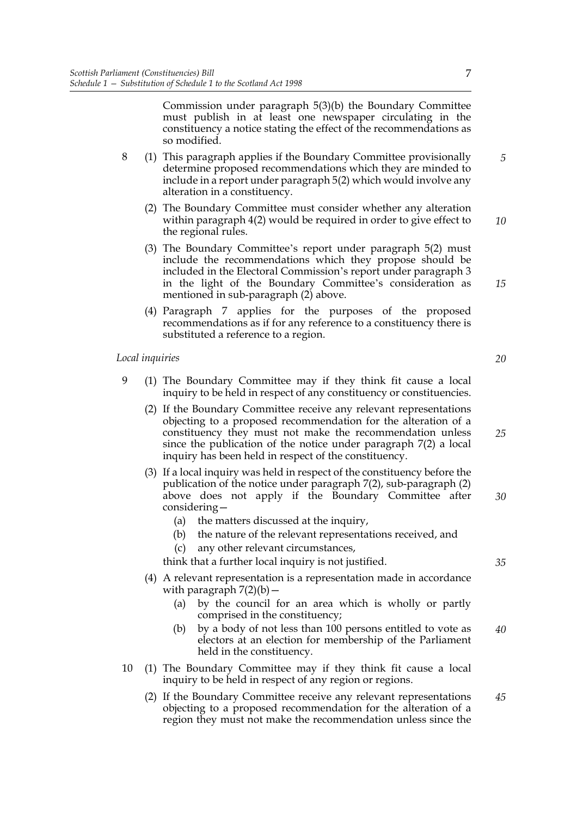Commission under paragraph 5(3)(b) the Boundary Committee must publish in at least one newspaper circulating in the constituency a notice stating the effect of the recommendations as so modified.

- 8 (1) This paragraph applies if the Boundary Committee provisionally determine proposed recommendations which they are minded to include in a report under paragraph 5(2) which would involve any alteration in a constituency.
	- (2) The Boundary Committee must consider whether any alteration within paragraph 4(2) would be required in order to give effect to the regional rules. *10*
	- (3) The Boundary Committee's report under paragraph 5(2) must include the recommendations which they propose should be included in the Electoral Commission's report under paragraph 3 in the light of the Boundary Committee's consideration as mentioned in sub-paragraph (2) above.
	- (4) Paragraph 7 applies for the purposes of the proposed recommendations as if for any reference to a constituency there is substituted a reference to a region.

#### *Local inquiries*

- 9 (1) The Boundary Committee may if they think fit cause a local inquiry to be held in respect of any constituency or constituencies.
	- (2) If the Boundary Committee receive any relevant representations objecting to a proposed recommendation for the alteration of a constituency they must not make the recommendation unless since the publication of the notice under paragraph 7(2) a local inquiry has been held in respect of the constituency. *25*
	- (3) If a local inquiry was held in respect of the constituency before the publication of the notice under paragraph 7(2), sub-paragraph (2) above does not apply if the Boundary Committee after considering— *30*
		- (a) the matters discussed at the inquiry,
		- (b) the nature of the relevant representations received, and
		- (c) any other relevant circumstances,

think that a further local inquiry is not justified.

- (4) A relevant representation is a representation made in accordance with paragraph  $7(2)(b)$  –
	- (a) by the council for an area which is wholly or partly comprised in the constituency;
	- (b) by a body of not less than 100 persons entitled to vote as electors at an election for membership of the Parliament held in the constituency. *40*
- 10 (1) The Boundary Committee may if they think fit cause a local inquiry to be held in respect of any region or regions.
	- (2) If the Boundary Committee receive any relevant representations objecting to a proposed recommendation for the alteration of a region they must not make the recommendation unless since the *45*

*20*

*15*

*5*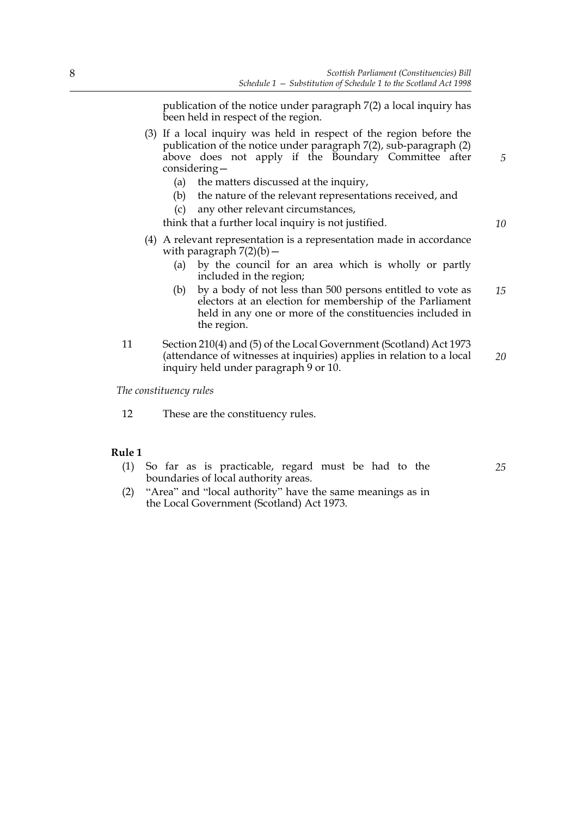*5*

*10*

*25*

publication of the notice under paragraph 7(2) a local inquiry has been held in respect of the region.

- (3) If a local inquiry was held in respect of the region before the publication of the notice under paragraph 7(2), sub-paragraph (2) above does not apply if the Boundary Committee after considering—
	- (a) the matters discussed at the inquiry,
	- (b) the nature of the relevant representations received, and
	- (c) any other relevant circumstances,

think that a further local inquiry is not justified.

- (4) A relevant representation is a representation made in accordance with paragraph  $7(2)(b)$  –
	- (a) by the council for an area which is wholly or partly included in the region;
	- (b) by a body of not less than 500 persons entitled to vote as electors at an election for membership of the Parliament held in any one or more of the constituencies included in the region. *15*
- 11 Section 210(4) and (5) of the Local Government (Scotland) Act 1973 (attendance of witnesses at inquiries) applies in relation to a local inquiry held under paragraph 9 or 10. *20*

*The constituency rules*

12 These are the constituency rules.

#### **Rule 1**

- (1) So far as is practicable, regard must be had to the boundaries of local authority areas.
- (2) "Area" and "local authority" have the same meanings as in the Local Government (Scotland) Act 1973.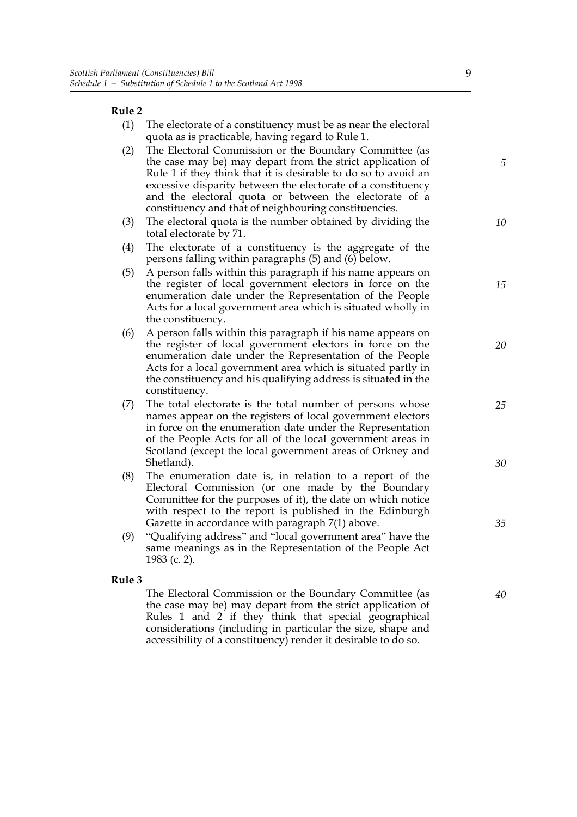## **Rule 2**

| Ruie ∠ |                                                                                                                                                                                                                                                                                                                                                                           |          |
|--------|---------------------------------------------------------------------------------------------------------------------------------------------------------------------------------------------------------------------------------------------------------------------------------------------------------------------------------------------------------------------------|----------|
| (1)    | The electorate of a constituency must be as near the electoral<br>quota as is practicable, having regard to Rule 1.                                                                                                                                                                                                                                                       |          |
| (2)    | The Electoral Commission or the Boundary Committee (as<br>the case may be) may depart from the strict application of<br>Rule 1 if they think that it is desirable to do so to avoid an<br>excessive disparity between the electorate of a constituency<br>and the electoral quota or between the electorate of a<br>constituency and that of neighbouring constituencies. | 5        |
| (3)    | The electoral quota is the number obtained by dividing the<br>total electorate by 71.                                                                                                                                                                                                                                                                                     | 10       |
| (4)    | The electorate of a constituency is the aggregate of the<br>persons falling within paragraphs (5) and (6) below.                                                                                                                                                                                                                                                          |          |
| (5)    | A person falls within this paragraph if his name appears on<br>the register of local government electors in force on the<br>enumeration date under the Representation of the People<br>Acts for a local government area which is situated wholly in<br>the constituency.                                                                                                  | 15       |
| (6)    | A person falls within this paragraph if his name appears on<br>the register of local government electors in force on the<br>enumeration date under the Representation of the People<br>Acts for a local government area which is situated partly in<br>the constituency and his qualifying address is situated in the<br>constituency.                                    | 20       |
| (7)    | The total electorate is the total number of persons whose<br>names appear on the registers of local government electors<br>in force on the enumeration date under the Representation<br>of the People Acts for all of the local government areas in<br>Scotland (except the local government areas of Orkney and<br>Shetland).                                            | 25<br>30 |
| (8)    | The enumeration date is, in relation to a report of the<br>Electoral Commission (or one made by the Boundary<br>Committee for the purposes of it), the date on which notice<br>with respect to the report is published in the Edinburgh<br>Gazette in accordance with paragraph 7(1) above.                                                                               | 35       |
| (9)    | "Qualifying address" and "local government area" have the<br>same meanings as in the Representation of the People Act<br>1983 (c. 2).                                                                                                                                                                                                                                     |          |
| Rule 3 |                                                                                                                                                                                                                                                                                                                                                                           |          |
|        | The Electoral Commission or the Boundary Committee (as<br>the case may be) may depart from the strict application of<br>Rules 1 and 2 if they think that special geographical<br>considerations (including in particular the size, shape and                                                                                                                              | 40       |

accessibility of a constituency) render it desirable to do so.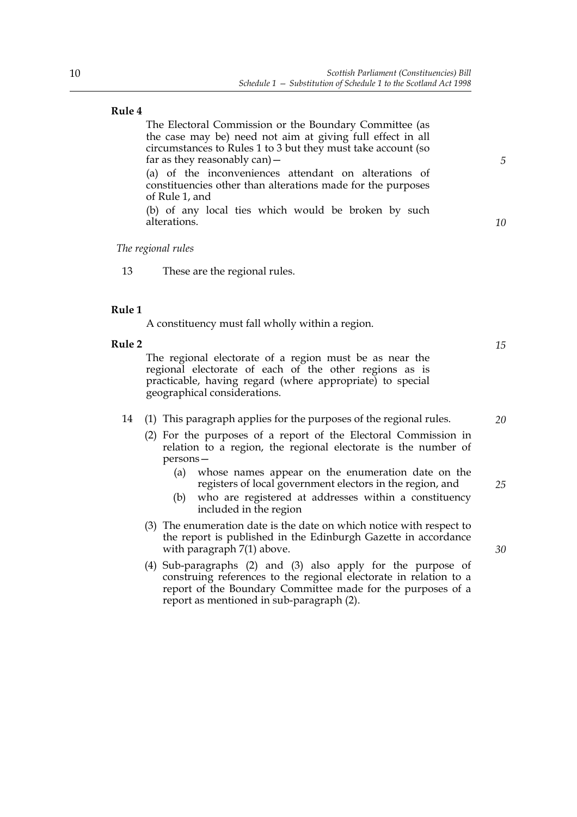#### **Rule 4**

The Electoral Commission or the Boundary Committee (as the case may be) need not aim at giving full effect in all circumstances to Rules 1 to 3 but they must take account (so far as they reasonably can)— (a) of the inconveniences attendant on alterations of

constituencies other than alterations made for the purposes of Rule 1, and

(b) of any local ties which would be broken by such alterations.

*The regional rules*

13 These are the regional rules.

#### **Rule 1**

A constituency must fall wholly within a region.

#### **Rule 2**

The regional electorate of a region must be as near the regional electorate of each of the other regions as is practicable, having regard (where appropriate) to special geographical considerations.

#### 14 (1) This paragraph applies for the purposes of the regional rules.

- (2) For the purposes of a report of the Electoral Commission in relation to a region, the regional electorate is the number of persons—
	- (a) whose names appear on the enumeration date on the registers of local government electors in the region, and
	- (b) who are registered at addresses within a constituency included in the region
- (3) The enumeration date is the date on which notice with respect to the report is published in the Edinburgh Gazette in accordance with paragraph 7(1) above.
- (4) Sub-paragraphs (2) and (3) also apply for the purpose of construing references to the regional electorate in relation to a report of the Boundary Committee made for the purposes of a report as mentioned in sub-paragraph (2).

*15*

*20*

*5*

*10*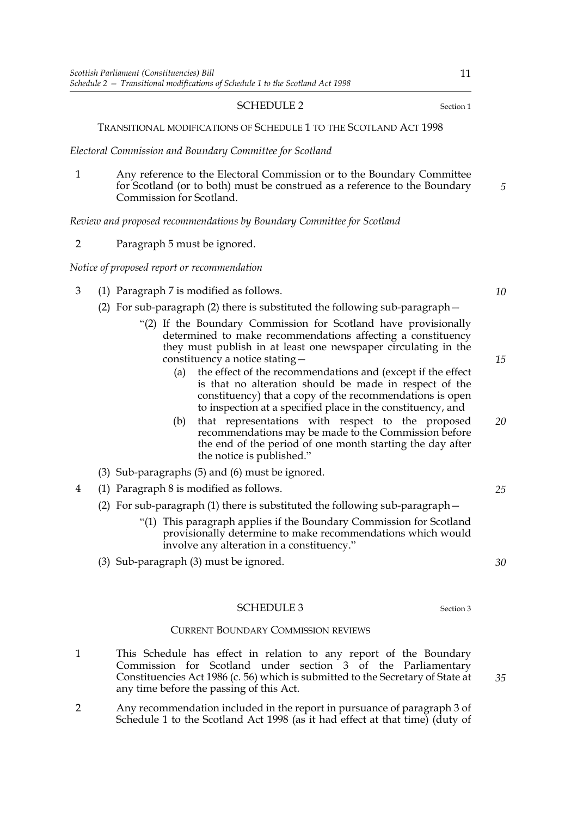#### <span id="page-14-0"></span>SCHEDULE 2 Section [1](#page-4-0)

#### TRANSITIONAL MODIFICATIONS OF SCHEDULE 1 TO THE SCOTLAND ACT 1998

*Electoral Commission and Boundary Committee for Scotland*

1 Any reference to the Electoral Commission or to the Boundary Committee for Scotland (or to both) must be construed as a reference to the Boundary Commission for Scotland.

*Review and proposed recommendations by Boundary Committee for Scotland*

2 Paragraph 5 must be ignored.

*Notice of proposed report or recommendation*

- 3 (1) Paragraph 7 is modified as follows.
	- (2) For sub-paragraph (2) there is substituted the following sub-paragraph—
		- "(2) If the Boundary Commission for Scotland have provisionally determined to make recommendations affecting a constituency they must publish in at least one newspaper circulating in the constituency a notice stating—
			- (a) the effect of the recommendations and (except if the effect is that no alteration should be made in respect of the constituency) that a copy of the recommendations is open to inspection at a specified place in the constituency, and
			- (b) that representations with respect to the proposed recommendations may be made to the Commission before the end of the period of one month starting the day after the notice is published." *20*
	- (3) Sub-paragraphs (5) and (6) must be ignored.
- 4 (1) Paragraph 8 is modified as follows.
	- (2) For sub-paragraph (1) there is substituted the following sub-paragraph—
		- "(1) This paragraph applies if the Boundary Commission for Scotland provisionally determine to make recommendations which would involve any alteration in a constituency."
	- (3) Sub-paragraph (3) must be ignored.

#### <span id="page-14-1"></span>SCHEDULE [3](#page-14-2) Section 3

#### CURRENT BOUNDARY COMMISSION REVIEWS

- <span id="page-14-2"></span>1 This Schedule has effect in relation to any report of the Boundary Commission for Scotland under section 3 of the Parliamentary Constituencies Act 1986 (c. 56) which is submitted to the Secretary of State at any time before the passing of this Act.
- 2 Any recommendation included in the report in pursuance of paragraph 3 of Schedule 1 to the Scotland Act 1998 (as it had effect at that time) (duty of

*5*

*15*

*10*

*25*

*30*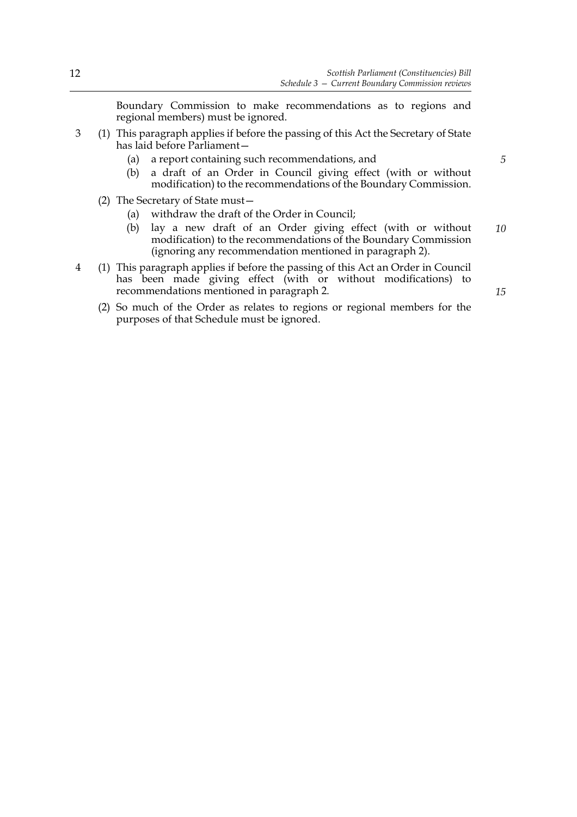Boundary Commission to make recommendations as to regions and regional members) must be ignored.

- 3 (1) This paragraph applies if before the passing of this Act the Secretary of State has laid before Parliament—
	- (a) a report containing such recommendations, and

*5*

- (b) a draft of an Order in Council giving effect (with or without modification) to the recommendations of the Boundary Commission.
- (2) The Secretary of State must—
	- (a) withdraw the draft of the Order in Council;
	- (b) lay a new draft of an Order giving effect (with or without modification) to the recommendations of the Boundary Commission (ignoring any recommendation mentioned in paragraph 2). *10*
- 4 (1) This paragraph applies if before the passing of this Act an Order in Council has been made giving effect (with or without modifications) to recommendations mentioned in paragraph 2.
	- (2) So much of the Order as relates to regions or regional members for the purposes of that Schedule must be ignored.